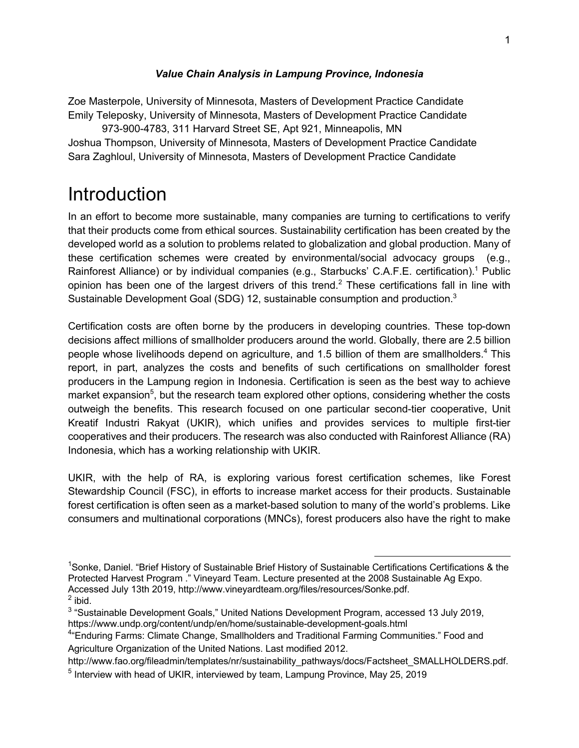#### *Value Chain Analysis in Lampung Province, Indonesia*

Zoe Masterpole, University of Minnesota, Masters of Development Practice Candidate Emily Teleposky, University of Minnesota, Masters of Development Practice Candidate

973-900-4783, 311 Harvard Street SE, Apt 921, Minneapolis, MN Joshua Thompson, University of Minnesota, Masters of Development Practice Candidate Sara Zaghloul, University of Minnesota, Masters of Development Practice Candidate

## **Introduction**

In an effort to become more sustainable, many companies are turning to certifications to verify that their products come from ethical sources. Sustainability certification has been created by the developed world as a solution to problems related to globalization and global production. Many of these certification schemes were created by environmental/social advocacy groups (e.g., Rainforest Alliance) or by individual companies (e.g., Starbucks' C.A.F.E. certification).<sup>1</sup> Public opinion has been one of the largest drivers of this trend.<sup>2</sup> These certifications fall in line with Sustainable Development Goal (SDG) 12, sustainable consumption and production.<sup>3</sup>

Certification costs are often borne by the producers in developing countries. These top-down decisions affect millions of smallholder producers around the world. Globally, there are 2.5 billion people whose livelihoods depend on agriculture, and 1.5 billion of them are smallholders.<sup>4</sup> This report, in part, analyzes the costs and benefits of such certifications on smallholder forest producers in the Lampung region in Indonesia. Certification is seen as the best way to achieve market expansion<sup>5</sup>, but the research team explored other options, considering whether the costs outweigh the benefits. This research focused on one particular second-tier cooperative, Unit Kreatif Industri Rakyat (UKIR), which unifies and provides services to multiple first-tier cooperatives and their producers. The research was also conducted with Rainforest Alliance (RA) Indonesia, which has a working relationship with UKIR.

UKIR, with the help of RA, is exploring various forest certification schemes, like Forest Stewardship Council (FSC), in efforts to increase market access for their products. Sustainable forest certification is often seen as a market-based solution to many of the world's problems. Like consumers and multinational corporations (MNCs), forest producers also have the right to make

 <sup>1</sup> Sonke, Daniel. "Brief History of Sustainable Brief History of Sustainable Certifications Certifications & the Protected Harvest Program ." Vineyard Team. Lecture presented at the 2008 Sustainable Ag Expo. Accessed July 13th 2019, http://www.vineyardteam.org/files/resources/Sonke.pdf.  $<sup>2</sup>$  ibid.</sup>

<sup>&</sup>lt;sup>3</sup> "Sustainable Development Goals," United Nations Development Program, accessed 13 July 2019, https://www.undp.org/content/undp/en/home/sustainable-development-goals.html

<sup>&</sup>lt;sup>4</sup>"Enduring Farms: Climate Change, Smallholders and Traditional Farming Communities." Food and Agriculture Organization of the United Nations. Last modified 2012.

http://www.fao.org/fileadmin/templates/nr/sustainability\_pathways/docs/Factsheet\_SMALLHOLDERS.pdf.

<sup>&</sup>lt;sup>5</sup> Interview with head of UKIR, interviewed by team, Lampung Province, May 25, 2019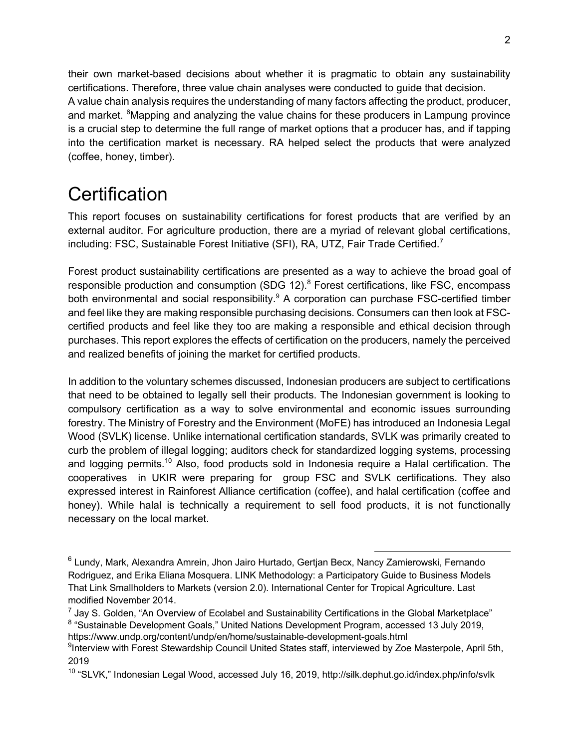their own market-based decisions about whether it is pragmatic to obtain any sustainability certifications. Therefore, three value chain analyses were conducted to guide that decision. A value chain analysis requires the understanding of many factors affecting the product, producer, and market. <sup>6</sup>Mapping and analyzing the value chains for these producers in Lampung province is a crucial step to determine the full range of market options that a producer has, and if tapping into the certification market is necessary. RA helped select the products that were analyzed (coffee, honey, timber).

# **Certification**

This report focuses on sustainability certifications for forest products that are verified by an external auditor. For agriculture production, there are a myriad of relevant global certifications, including: FSC, Sustainable Forest Initiative (SFI), RA, UTZ, Fair Trade Certified.<sup>7</sup>

Forest product sustainability certifications are presented as a way to achieve the broad goal of responsible production and consumption (SDG 12). $8$  Forest certifications, like FSC, encompass both environmental and social responsibility.<sup>9</sup> A corporation can purchase FSC-certified timber and feel like they are making responsible purchasing decisions. Consumers can then look at FSCcertified products and feel like they too are making a responsible and ethical decision through purchases. This report explores the effects of certification on the producers, namely the perceived and realized benefits of joining the market for certified products.

In addition to the voluntary schemes discussed, Indonesian producers are subject to certifications that need to be obtained to legally sell their products. The Indonesian government is looking to compulsory certification as a way to solve environmental and economic issues surrounding forestry. The Ministry of Forestry and the Environment (MoFE) has introduced an Indonesia Legal Wood (SVLK) license. Unlike international certification standards, SVLK was primarily created to curb the problem of illegal logging; auditors check for standardized logging systems, processing and logging permits.<sup>10</sup> Also, food products sold in Indonesia require a Halal certification. The cooperatives in UKIR were preparing for group FSC and SVLK certifications. They also expressed interest in Rainforest Alliance certification (coffee), and halal certification (coffee and honey). While halal is technically a requirement to sell food products, it is not functionally necessary on the local market.

 <sup>6</sup> Lundy, Mark, Alexandra Amrein, Jhon Jairo Hurtado, Gertjan Becx, Nancy Zamierowski, Fernando Rodriguez, and Erika Eliana Mosquera. LINK Methodology: a Participatory Guide to Business Models That Link Smallholders to Markets (version 2.0). International Center for Tropical Agriculture. Last modified November 2014.

 $7$  Jay S. Golden, "An Overview of Ecolabel and Sustainability Certifications in the Global Marketplace" <sup>8</sup> "Sustainable Development Goals," United Nations Development Program, accessed 13 July 2019, https://www.undp.org/content/undp/en/home/sustainable-development-goals.html

<sup>&</sup>lt;sup>9</sup>Interview with Forest Stewardship Council United States staff, interviewed by Zoe Masterpole, April 5th, 2019

<sup>&</sup>lt;sup>10</sup> "SLVK," Indonesian Legal Wood, accessed July 16, 2019, http://silk.dephut.go.id/index.php/info/svlk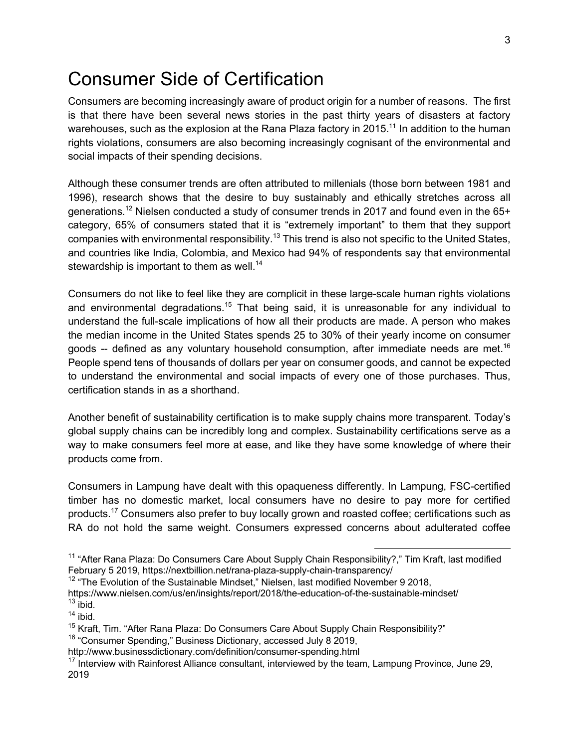## Consumer Side of Certification

Consumers are becoming increasingly aware of product origin for a number of reasons. The first is that there have been several news stories in the past thirty years of disasters at factory warehouses, such as the explosion at the Rana Plaza factory in 2015.<sup>11</sup> In addition to the human rights violations, consumers are also becoming increasingly cognisant of the environmental and social impacts of their spending decisions.

Although these consumer trends are often attributed to millenials (those born between 1981 and 1996), research shows that the desire to buy sustainably and ethically stretches across all generations.<sup>12</sup> Nielsen conducted a study of consumer trends in 2017 and found even in the  $65+$ category, 65% of consumers stated that it is "extremely important" to them that they support companies with environmental responsibility.<sup>13</sup> This trend is also not specific to the United States, and countries like India, Colombia, and Mexico had 94% of respondents say that environmental stewardship is important to them as well.<sup>14</sup>

Consumers do not like to feel like they are complicit in these large-scale human rights violations and environmental degradations.<sup>15</sup> That being said, it is unreasonable for any individual to understand the full-scale implications of how all their products are made. A person who makes the median income in the United States spends 25 to 30% of their yearly income on consumer goods -- defined as any voluntary household consumption, after immediate needs are met.<sup>16</sup> People spend tens of thousands of dollars per year on consumer goods, and cannot be expected to understand the environmental and social impacts of every one of those purchases. Thus, certification stands in as a shorthand.

Another benefit of sustainability certification is to make supply chains more transparent. Today's global supply chains can be incredibly long and complex. Sustainability certifications serve as a way to make consumers feel more at ease, and like they have some knowledge of where their products come from.

Consumers in Lampung have dealt with this opaqueness differently. In Lampung, FSC-certified timber has no domestic market, local consumers have no desire to pay more for certified products.<sup>17</sup> Consumers also prefer to buy locally grown and roasted coffee; certifications such as RA do not hold the same weight. Consumers expressed concerns about adulterated coffee

<sup>&</sup>lt;sup>11</sup> "After Rana Plaza: Do Consumers Care About Supply Chain Responsibility?," Tim Kraft, last modified February 5 2019, https://nextbillion.net/rana-plaza-supply-chain-transparency/

<sup>&</sup>lt;sup>12</sup> "The Evolution of the Sustainable Mindset," Nielsen, last modified November 9 2018,

https://www.nielsen.com/us/en/insights/report/2018/the-education-of-the-sustainable-mindset/  $13$  ibid.

 $14$  ibid.

<sup>&</sup>lt;sup>15</sup> Kraft. Tim. "After Rana Plaza: Do Consumers Care About Supply Chain Responsibility?"

<sup>16</sup> "Consumer Spending," Business Dictionary, accessed July 8 2019,

http://www.businessdictionary.com/definition/consumer-spending.html

<sup>&</sup>lt;sup>17</sup> Interview with Rainforest Alliance consultant, interviewed by the team, Lampung Province, June 29, 2019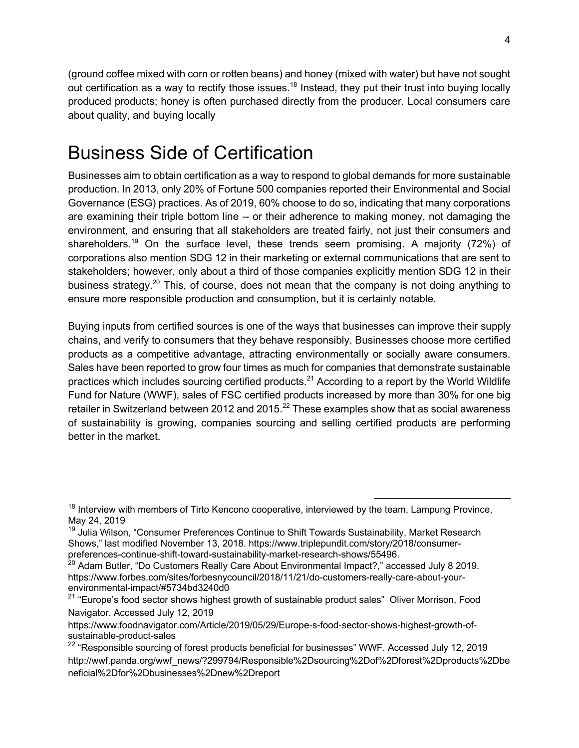(ground coffee mixed with corn or rotten beans) and honey (mixed with water) but have not sought out certification as a way to rectify those issues.<sup>18</sup> Instead, they put their trust into buying locally produced products; honey is often purchased directly from the producer. Local consumers care about quality, and buying locally

## Business Side of Certification

Businesses aim to obtain certification as a way to respond to global demands for more sustainable production. In 2013, only 20% of Fortune 500 companies reported their Environmental and Social Governance (ESG) practices. As of 2019, 60% choose to do so, indicating that many corporations are examining their triple bottom line -- or their adherence to making money, not damaging the environment, and ensuring that all stakeholders are treated fairly, not just their consumers and shareholders.<sup>19</sup> On the surface level, these trends seem promising. A majority (72%) of corporations also mention SDG 12 in their marketing or external communications that are sent to stakeholders; however, only about a third of those companies explicitly mention SDG 12 in their business strategy.<sup>20</sup> This, of course, does not mean that the company is not doing anything to ensure more responsible production and consumption, but it is certainly notable.

Buying inputs from certified sources is one of the ways that businesses can improve their supply chains, and verify to consumers that they behave responsibly. Businesses choose more certified products as a competitive advantage, attracting environmentally or socially aware consumers. Sales have been reported to grow four times as much for companies that demonstrate sustainable practices which includes sourcing certified products.<sup>21</sup> According to a report by the World Wildlife Fund for Nature (WWF), sales of FSC certified products increased by more than 30% for one big retailer in Switzerland between 2012 and 2015. $^{22}$  These examples show that as social awareness of sustainability is growing, companies sourcing and selling certified products are performing better in the market.

 $18$  Interview with members of Tirto Kencono cooperative, interviewed by the team, Lampung Province, May 24, 2019

<sup>&</sup>lt;sup>19</sup> Julia Wilson, "Consumer Preferences Continue to Shift Towards Sustainability, Market Research Shows," last modified November 13, 2018. https://www.triplepundit.com/story/2018/consumerpreferences-continue-shift-toward-sustainability-market-research-shows/55496.

 $^{20}$  Adam Butler, "Do Customers Really Care About Environmental Impact?," accessed July 8 2019. https://www.forbes.com/sites/forbesnycouncil/2018/11/21/do-customers-really-care-about-yourenvironmental-impact/#5734bd3240d0

<sup>&</sup>lt;sup>21</sup> "Europe's food sector shows highest growth of sustainable product sales" Oliver Morrison, Food Navigator. Accessed July 12, 2019

https://www.foodnavigator.com/Article/2019/05/29/Europe-s-food-sector-shows-highest-growth-ofsustainable-product-sales

<sup>&</sup>lt;sup>22</sup> "Responsible sourcing of forest products beneficial for businesses" WWF. Accessed July 12, 2019 http://wwf.panda.org/wwf\_news/?299794/Responsible%2Dsourcing%2Dof%2Dforest%2Dproducts%2Dbe neficial%2Dfor%2Dbusinesses%2Dnew%2Dreport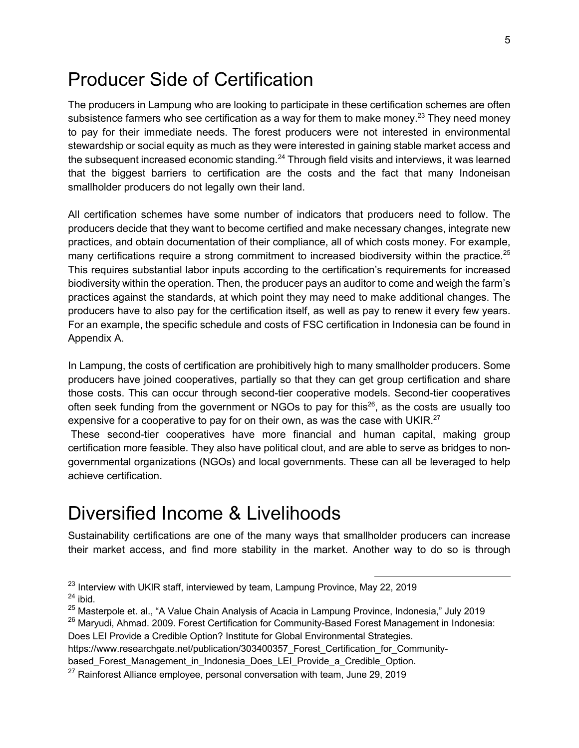### Producer Side of Certification

The producers in Lampung who are looking to participate in these certification schemes are often subsistence farmers who see certification as a way for them to make money.<sup>23</sup> They need money to pay for their immediate needs. The forest producers were not interested in environmental stewardship or social equity as much as they were interested in gaining stable market access and the subsequent increased economic standing.<sup>24</sup> Through field visits and interviews, it was learned that the biggest barriers to certification are the costs and the fact that many Indoneisan smallholder producers do not legally own their land.

All certification schemes have some number of indicators that producers need to follow. The producers decide that they want to become certified and make necessary changes, integrate new practices, and obtain documentation of their compliance, all of which costs money. For example, many certifications require a strong commitment to increased biodiversity within the practice.<sup>25</sup> This requires substantial labor inputs according to the certification's requirements for increased biodiversity within the operation. Then, the producer pays an auditor to come and weigh the farm's practices against the standards, at which point they may need to make additional changes. The producers have to also pay for the certification itself, as well as pay to renew it every few years. For an example, the specific schedule and costs of FSC certification in Indonesia can be found in Appendix A.

In Lampung, the costs of certification are prohibitively high to many smallholder producers. Some producers have joined cooperatives, partially so that they can get group certification and share those costs. This can occur through second-tier cooperative models. Second-tier cooperatives often seek funding from the government or NGOs to pay for this<sup>26</sup>, as the costs are usually too expensive for a cooperative to pay for on their own, as was the case with UKIR. $^{27}$ 

These second-tier cooperatives have more financial and human capital, making group certification more feasible. They also have political clout, and are able to serve as bridges to nongovernmental organizations (NGOs) and local governments. These can all be leveraged to help achieve certification.

### Diversified Income & Livelihoods

Sustainability certifications are one of the many ways that smallholder producers can increase their market access, and find more stability in the market. Another way to do so is through

Does LEI Provide a Credible Option? Institute for Global Environmental Strategies.

based Forest Management in Indonesia Does LEI Provide a Credible Option.

 $23$  Interview with UKIR staff, interviewed by team, Lampung Province, May 22, 2019  $24$  ibid.

<sup>&</sup>lt;sup>25</sup> Masterpole et. al., "A Value Chain Analysis of Acacia in Lampung Province, Indonesia," July 2019

<sup>&</sup>lt;sup>26</sup> Maryudi, Ahmad. 2009. Forest Certification for Community-Based Forest Management in Indonesia:

https://www.researchgate.net/publication/303400357 Forest Certification for Community-

 $27$  Rainforest Alliance employee, personal conversation with team, June 29, 2019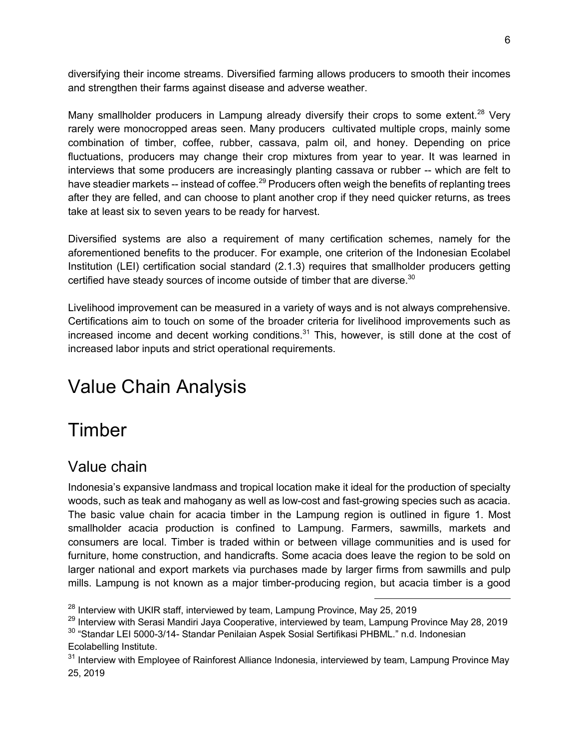diversifying their income streams. Diversified farming allows producers to smooth their incomes and strengthen their farms against disease and adverse weather.

Many smallholder producers in Lampung already diversify their crops to some extent.<sup>28</sup> Very rarely were monocropped areas seen. Many producers cultivated multiple crops, mainly some combination of timber, coffee, rubber, cassava, palm oil, and honey. Depending on price fluctuations, producers may change their crop mixtures from year to year. It was learned in interviews that some producers are increasingly planting cassava or rubber -- which are felt to have steadier markets -- instead of coffee.<sup>29</sup> Producers often weigh the benefits of replanting trees after they are felled, and can choose to plant another crop if they need quicker returns, as trees take at least six to seven years to be ready for harvest.

Diversified systems are also a requirement of many certification schemes, namely for the aforementioned benefits to the producer. For example, one criterion of the Indonesian Ecolabel Institution (LEI) certification social standard (2.1.3) requires that smallholder producers getting certified have steady sources of income outside of timber that are diverse.<sup>30</sup>

Livelihood improvement can be measured in a variety of ways and is not always comprehensive. Certifications aim to touch on some of the broader criteria for livelihood improvements such as increased income and decent working conditions. $31$  This, however, is still done at the cost of increased labor inputs and strict operational requirements.

# Value Chain Analysis

# Timber

### Value chain

Indonesia's expansive landmass and tropical location make it ideal for the production of specialty woods, such as teak and mahogany as well as low-cost and fast-growing species such as acacia. The basic value chain for acacia timber in the Lampung region is outlined in figure 1. Most smallholder acacia production is confined to Lampung. Farmers, sawmills, markets and consumers are local. Timber is traded within or between village communities and is used for furniture, home construction, and handicrafts. Some acacia does leave the region to be sold on larger national and export markets via purchases made by larger firms from sawmills and pulp mills. Lampung is not known as a major timber-producing region, but acacia timber is a good

 $28$  Interview with UKIR staff, interviewed by team, Lampung Province, May 25, 2019

<sup>&</sup>lt;sup>29</sup> Interview with Serasi Mandiri Jaya Cooperative, interviewed by team, Lampung Province May 28, 2019 <sup>30</sup> "Standar LEI 5000-3/14- Standar Penilaian Aspek Sosial Sertifikasi PHBML." n.d. Indonesian Ecolabelling Institute.

<sup>&</sup>lt;sup>31</sup> Interview with Employee of Rainforest Alliance Indonesia, interviewed by team, Lampung Province May 25, 2019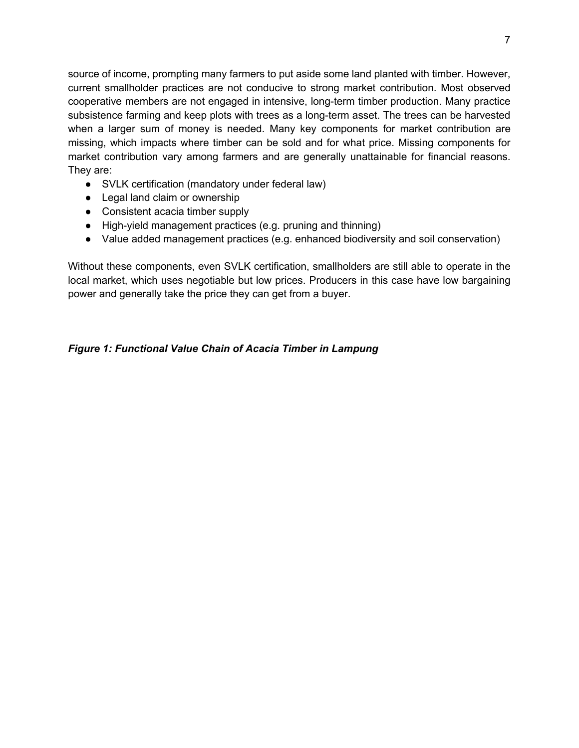source of income, prompting many farmers to put aside some land planted with timber. However, current smallholder practices are not conducive to strong market contribution. Most observed cooperative members are not engaged in intensive, long-term timber production. Many practice subsistence farming and keep plots with trees as a long-term asset. The trees can be harvested when a larger sum of money is needed. Many key components for market contribution are missing, which impacts where timber can be sold and for what price. Missing components for market contribution vary among farmers and are generally unattainable for financial reasons. They are:

- SVLK certification (mandatory under federal law)
- Legal land claim or ownership
- Consistent acacia timber supply
- High-yield management practices (e.g. pruning and thinning)
- Value added management practices (e.g. enhanced biodiversity and soil conservation)

Without these components, even SVLK certification, smallholders are still able to operate in the local market, which uses negotiable but low prices. Producers in this case have low bargaining power and generally take the price they can get from a buyer.

#### *Figure 1: Functional Value Chain of Acacia Timber in Lampung*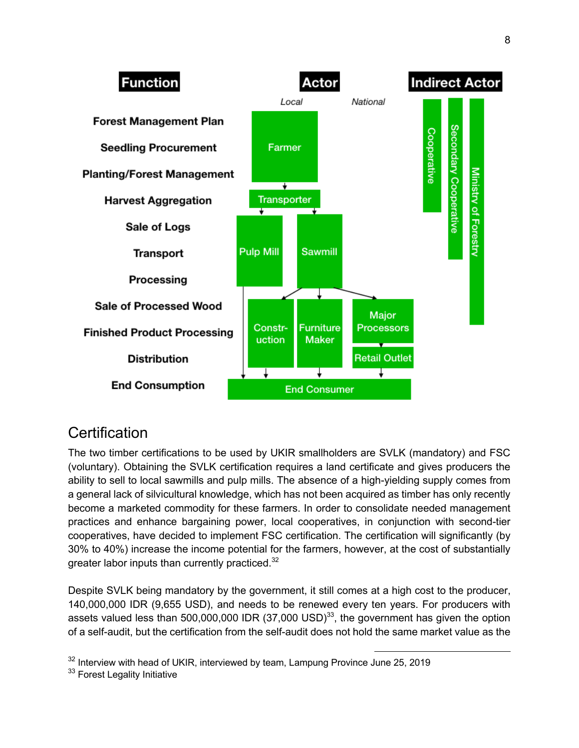

### **Certification**

The two timber certifications to be used by UKIR smallholders are SVLK (mandatory) and FSC (voluntary). Obtaining the SVLK certification requires a land certificate and gives producers the ability to sell to local sawmills and pulp mills. The absence of a high-yielding supply comes from a general lack of silvicultural knowledge, which has not been acquired as timber has only recently become a marketed commodity for these farmers. In order to consolidate needed management practices and enhance bargaining power, local cooperatives, in conjunction with second-tier cooperatives, have decided to implement FSC certification. The certification will significantly (by 30% to 40%) increase the income potential for the farmers, however, at the cost of substantially greater labor inputs than currently practiced.<sup>32</sup>

Despite SVLK being mandatory by the government, it still comes at a high cost to the producer, 140,000,000 IDR (9,655 USD), and needs to be renewed every ten years. For producers with assets valued less than 500,000,000 IDR  $(37,000 \text{ USD})^{33}$ , the government has given the option of a self-audit, but the certification from the self-audit does not hold the same market value as the

 $32$  Interview with head of UKIR, interviewed by team, Lampung Province June 25, 2019

<sup>33</sup> Forest Legality Initiative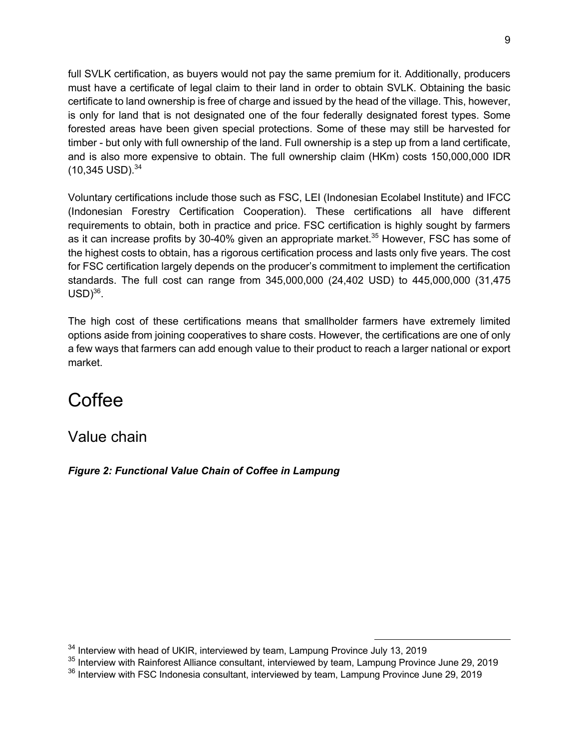full SVLK certification, as buyers would not pay the same premium for it. Additionally, producers must have a certificate of legal claim to their land in order to obtain SVLK. Obtaining the basic certificate to land ownership is free of charge and issued by the head of the village. This, however, is only for land that is not designated one of the four federally designated forest types. Some forested areas have been given special protections. Some of these may still be harvested for timber - but only with full ownership of the land. Full ownership is a step up from a land certificate, and is also more expensive to obtain. The full ownership claim (HKm) costs 150,000,000 IDR  $(10,345$  USD $).^{34}$ 

Voluntary certifications include those such as FSC, LEI (Indonesian Ecolabel Institute) and IFCC (Indonesian Forestry Certification Cooperation). These certifications all have different requirements to obtain, both in practice and price. FSC certification is highly sought by farmers as it can increase profits by 30-40% given an appropriate market.<sup>35</sup> However, FSC has some of the highest costs to obtain, has a rigorous certification process and lasts only five years. The cost for FSC certification largely depends on the producer's commitment to implement the certification standards. The full cost can range from 345,000,000 (24,402 USD) to 445,000,000 (31,475  $USD$ <sup>36</sup>.

The high cost of these certifications means that smallholder farmers have extremely limited options aside from joining cooperatives to share costs. However, the certifications are one of only a few ways that farmers can add enough value to their product to reach a larger national or export market.

# **Coffee**

Value chain

*Figure 2: Functional Value Chain of Coffee in Lampung*

<sup>&</sup>lt;sup>34</sup> Interview with head of UKIR, interviewed by team, Lampung Province July 13, 2019

<sup>&</sup>lt;sup>35</sup> Interview with Rainforest Alliance consultant, interviewed by team, Lampung Province June 29, 2019

<sup>&</sup>lt;sup>36</sup> Interview with FSC Indonesia consultant, interviewed by team, Lampung Province June 29, 2019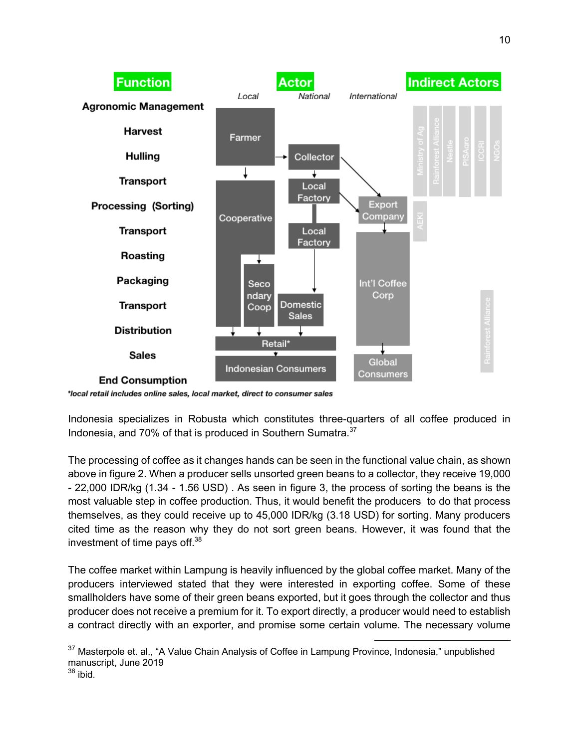

\*local retail includes online sales, local market, direct to consumer sales

Indonesia specializes in Robusta which constitutes three-quarters of all coffee produced in Indonesia, and 70% of that is produced in Southern Sumatra.<sup>37</sup>

The processing of coffee as it changes hands can be seen in the functional value chain, as shown above in figure 2. When a producer sells unsorted green beans to a collector, they receive 19,000 - 22,000 IDR/kg (1.34 - 1.56 USD) . As seen in figure 3, the process of sorting the beans is the most valuable step in coffee production. Thus, it would benefit the producers to do that process themselves, as they could receive up to 45,000 IDR/kg (3.18 USD) for sorting. Many producers cited time as the reason why they do not sort green beans. However, it was found that the investment of time pays off.<sup>38</sup>

The coffee market within Lampung is heavily influenced by the global coffee market. Many of the producers interviewed stated that they were interested in exporting coffee. Some of these smallholders have some of their green beans exported, but it goes through the collector and thus producer does not receive a premium for it. To export directly, a producer would need to establish a contract directly with an exporter, and promise some certain volume. The necessary volume

<sup>37</sup> Masterpole et. al., "A Value Chain Analysis of Coffee in Lampung Province, Indonesia," unpublished manuscript, June 2019  $38$  ibid.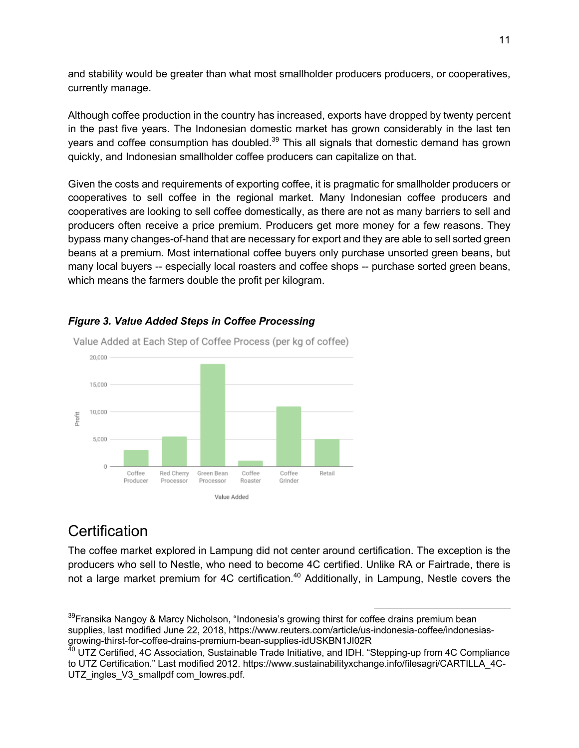and stability would be greater than what most smallholder producers producers, or cooperatives, currently manage.

Although coffee production in the country has increased, exports have dropped by twenty percent in the past five years. The Indonesian domestic market has grown considerably in the last ten years and coffee consumption has doubled.<sup>39</sup> This all signals that domestic demand has grown quickly, and Indonesian smallholder coffee producers can capitalize on that.

Given the costs and requirements of exporting coffee, it is pragmatic for smallholder producers or cooperatives to sell coffee in the regional market. Many Indonesian coffee producers and cooperatives are looking to sell coffee domestically, as there are not as many barriers to sell and producers often receive a price premium. Producers get more money for a few reasons. They bypass many changes-of-hand that are necessary for export and they are able to sell sorted green beans at a premium. Most international coffee buyers only purchase unsorted green beans, but many local buyers -- especially local roasters and coffee shops -- purchase sorted green beans, which means the farmers double the profit per kilogram.



#### *Figure 3. Value Added Steps in Coffee Processing*

### **Certification**

The coffee market explored in Lampung did not center around certification. The exception is the producers who sell to Nestle, who need to become 4C certified. Unlike RA or Fairtrade, there is not a large market premium for 4C certification.<sup>40</sup> Additionally, in Lampung, Nestle covers the

<sup>&</sup>lt;sup>39</sup>Fransika Nangoy & Marcy Nicholson, "Indonesia's growing thirst for coffee drains premium bean supplies, last modified June 22, 2018, https://www.reuters.com/article/us-indonesia-coffee/indonesiasgrowing-thirst-for-coffee-drains-premium-bean-supplies-idUSKBN1JI02R

<sup>&</sup>lt;sup>40</sup> UTZ Certified, 4C Association, Sustainable Trade Initiative, and IDH. "Stepping-up from 4C Compliance to UTZ Certification." Last modified 2012. https://www.sustainabilityxchange.info/filesagri/CARTILLA\_4C-UTZ\_ingles\_V3\_smallpdf com\_lowres.pdf.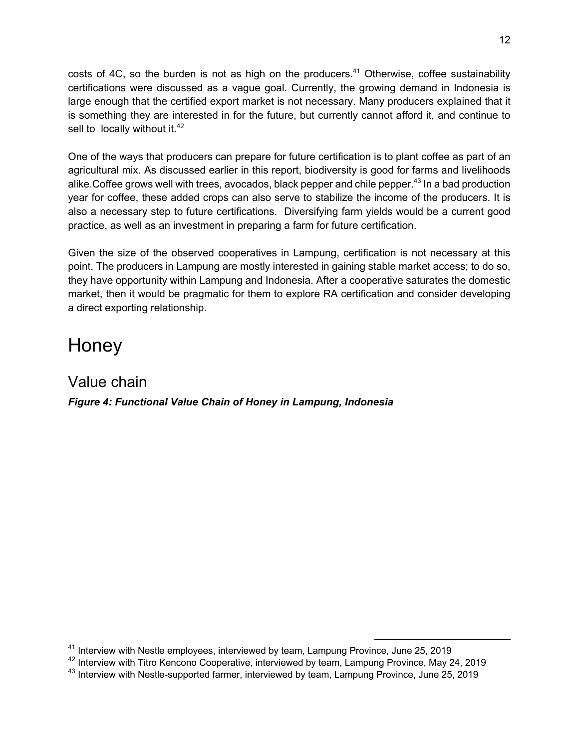costs of 4C, so the burden is not as high on the producers.<sup>41</sup> Otherwise, coffee sustainability certifications were discussed as a vague goal. Currently, the growing demand in Indonesia is large enough that the certified export market is not necessary. Many producers explained that it is something they are interested in for the future, but currently cannot afford it, and continue to sell to locally without it.<sup>42</sup>

One of the ways that producers can prepare for future certification is to plant coffee as part of an agricultural mix. As discussed earlier in this report, biodiversity is good for farms and livelihoods alike. Coffee grows well with trees, avocados, black pepper and chile pepper.<sup>43</sup> In a bad production year for coffee, these added crops can also serve to stabilize the income of the producers. It is also a necessary step to future certifications. Diversifying farm yields would be a current good practice, as well as an investment in preparing a farm for future certification.

Given the size of the observed cooperatives in Lampung, certification is not necessary at this point. The producers in Lampung are mostly interested in gaining stable market access; to do so, they have opportunity within Lampung and Indonesia. After a cooperative saturates the domestic market, then it would be pragmatic for them to explore RA certification and consider developing a direct exporting relationship.

# **Honey**

Value chain *Figure 4: Functional Value Chain of Honey in Lampung, Indonesia*

<sup>41</sup> Interview with Nestle employees, interviewed by team, Lampung Province, June 25, 2019

<sup>42</sup> Interview with Titro Kencono Cooperative, interviewed by team, Lampung Province, May 24, 2019

<sup>&</sup>lt;sup>43</sup> Interview with Nestle-supported farmer, interviewed by team, Lampung Province, June 25, 2019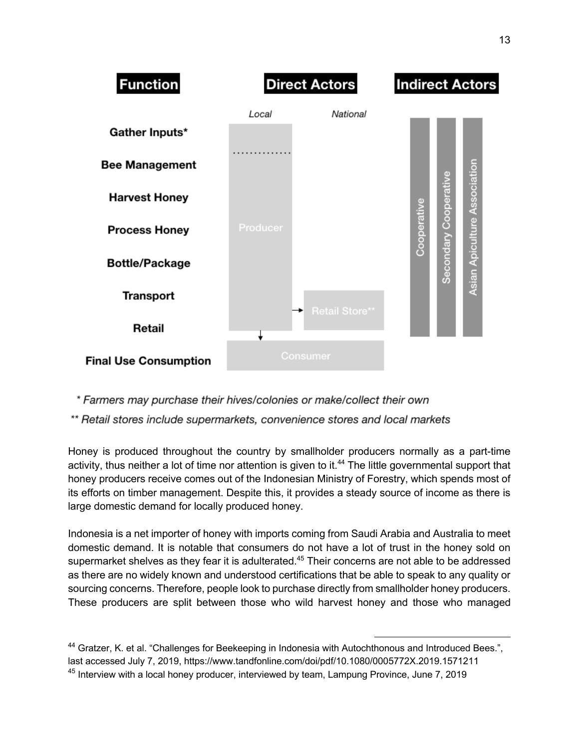

\* Farmers may purchase their hives/colonies or make/collect their own

\*\* Retail stores include supermarkets, convenience stores and local markets

Honey is produced throughout the country by smallholder producers normally as a part-time activity, thus neither a lot of time nor attention is given to it.<sup>44</sup> The little governmental support that honey producers receive comes out of the Indonesian Ministry of Forestry, which spends most of its efforts on timber management. Despite this, it provides a steady source of income as there is large domestic demand for locally produced honey.

Indonesia is a net importer of honey with imports coming from Saudi Arabia and Australia to meet domestic demand. It is notable that consumers do not have a lot of trust in the honey sold on supermarket shelves as they fear it is adulterated.<sup>45</sup> Their concerns are not able to be addressed as there are no widely known and understood certifications that be able to speak to any quality or sourcing concerns. Therefore, people look to purchase directly from smallholder honey producers. These producers are split between those who wild harvest honey and those who managed

 <sup>44</sup> Gratzer, K. et al. "Challenges for Beekeeping in Indonesia with Autochthonous and Introduced Bees.", last accessed July 7, 2019, https://www.tandfonline.com/doi/pdf/10.1080/0005772X.2019.1571211  $45$  Interview with a local honey producer, interviewed by team, Lampung Province, June 7, 2019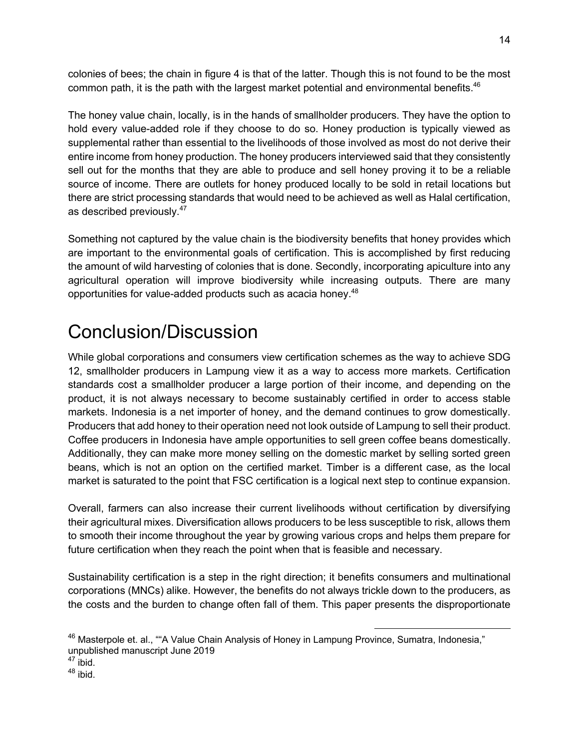colonies of bees; the chain in figure 4 is that of the latter. Though this is not found to be the most common path, it is the path with the largest market potential and environmental benefits. $46$ 

The honey value chain, locally, is in the hands of smallholder producers. They have the option to hold every value-added role if they choose to do so. Honey production is typically viewed as supplemental rather than essential to the livelihoods of those involved as most do not derive their entire income from honey production. The honey producers interviewed said that they consistently sell out for the months that they are able to produce and sell honey proving it to be a reliable source of income. There are outlets for honey produced locally to be sold in retail locations but there are strict processing standards that would need to be achieved as well as Halal certification, as described previously.<sup>47</sup>

Something not captured by the value chain is the biodiversity benefits that honey provides which are important to the environmental goals of certification. This is accomplished by first reducing the amount of wild harvesting of colonies that is done. Secondly, incorporating apiculture into any agricultural operation will improve biodiversity while increasing outputs. There are many opportunities for value-added products such as acacia honey.48

# Conclusion/Discussion

While global corporations and consumers view certification schemes as the way to achieve SDG 12, smallholder producers in Lampung view it as a way to access more markets. Certification standards cost a smallholder producer a large portion of their income, and depending on the product, it is not always necessary to become sustainably certified in order to access stable markets. Indonesia is a net importer of honey, and the demand continues to grow domestically. Producers that add honey to their operation need not look outside of Lampung to sell their product. Coffee producers in Indonesia have ample opportunities to sell green coffee beans domestically. Additionally, they can make more money selling on the domestic market by selling sorted green beans, which is not an option on the certified market. Timber is a different case, as the local market is saturated to the point that FSC certification is a logical next step to continue expansion.

Overall, farmers can also increase their current livelihoods without certification by diversifying their agricultural mixes. Diversification allows producers to be less susceptible to risk, allows them to smooth their income throughout the year by growing various crops and helps them prepare for future certification when they reach the point when that is feasible and necessary.

Sustainability certification is a step in the right direction; it benefits consumers and multinational corporations (MNCs) alike. However, the benefits do not always trickle down to the producers, as the costs and the burden to change often fall of them. This paper presents the disproportionate

<sup>&</sup>lt;sup>46</sup> Masterpole et. al., ""A Value Chain Analysis of Honey in Lampung Province, Sumatra, Indonesia," unpublished manuscript June 2019

 $47$  ibid.

<sup>48</sup> ibid.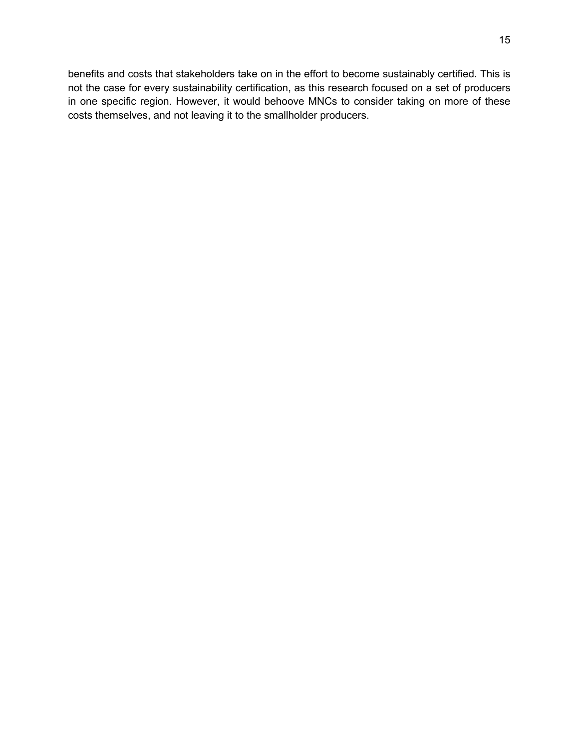benefits and costs that stakeholders take on in the effort to become sustainably certified. This is not the case for every sustainability certification, as this research focused on a set of producers in one specific region. However, it would behoove MNCs to consider taking on more of these costs themselves, and not leaving it to the smallholder producers.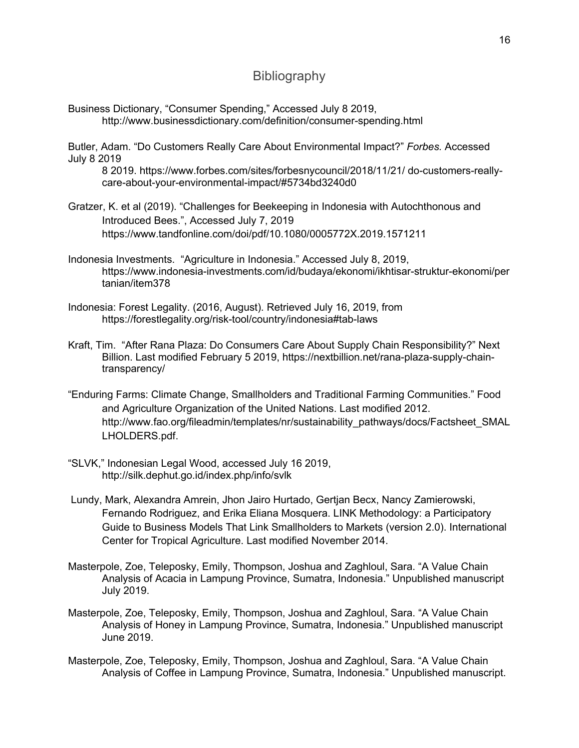### **Bibliography**

Business Dictionary, "Consumer Spending," Accessed July 8 2019, http://www.businessdictionary.com/definition/consumer-spending.html

Butler, Adam. "Do Customers Really Care About Environmental Impact?" *Forbes.* Accessed July 8 2019

8 2019. https://www.forbes.com/sites/forbesnycouncil/2018/11/21/ do-customers-reallycare-about-your-environmental-impact/#5734bd3240d0

- Gratzer, K. et al (2019). "Challenges for Beekeeping in Indonesia with Autochthonous and Introduced Bees.", Accessed July 7, 2019 https://www.tandfonline.com/doi/pdf/10.1080/0005772X.2019.1571211
- Indonesia Investments. "Agriculture in Indonesia." Accessed July 8, 2019, https://www.indonesia-investments.com/id/budaya/ekonomi/ikhtisar-struktur-ekonomi/per tanian/item378
- Indonesia: Forest Legality. (2016, August). Retrieved July 16, 2019, from https://forestlegality.org/risk-tool/country/indonesia#tab-laws
- Kraft, Tim. "After Rana Plaza: Do Consumers Care About Supply Chain Responsibility?" Next Billion. Last modified February 5 2019, https://nextbillion.net/rana-plaza-supply-chaintransparency/
- "Enduring Farms: Climate Change, Smallholders and Traditional Farming Communities." Food and Agriculture Organization of the United Nations. Last modified 2012. http://www.fao.org/fileadmin/templates/nr/sustainability\_pathways/docs/Factsheet\_SMAL LHOLDERS.pdf.
- "SLVK," Indonesian Legal Wood, accessed July 16 2019, http://silk.dephut.go.id/index.php/info/svlk
- Lundy, Mark, Alexandra Amrein, Jhon Jairo Hurtado, Gertjan Becx, Nancy Zamierowski, Fernando Rodriguez, and Erika Eliana Mosquera. LINK Methodology: a Participatory Guide to Business Models That Link Smallholders to Markets (version 2.0). International Center for Tropical Agriculture. Last modified November 2014.
- Masterpole, Zoe, Teleposky, Emily, Thompson, Joshua and Zaghloul, Sara. "A Value Chain Analysis of Acacia in Lampung Province, Sumatra, Indonesia." Unpublished manuscript July 2019.
- Masterpole, Zoe, Teleposky, Emily, Thompson, Joshua and Zaghloul, Sara. "A Value Chain Analysis of Honey in Lampung Province, Sumatra, Indonesia." Unpublished manuscript June 2019.
- Masterpole, Zoe, Teleposky, Emily, Thompson, Joshua and Zaghloul, Sara. "A Value Chain Analysis of Coffee in Lampung Province, Sumatra, Indonesia." Unpublished manuscript.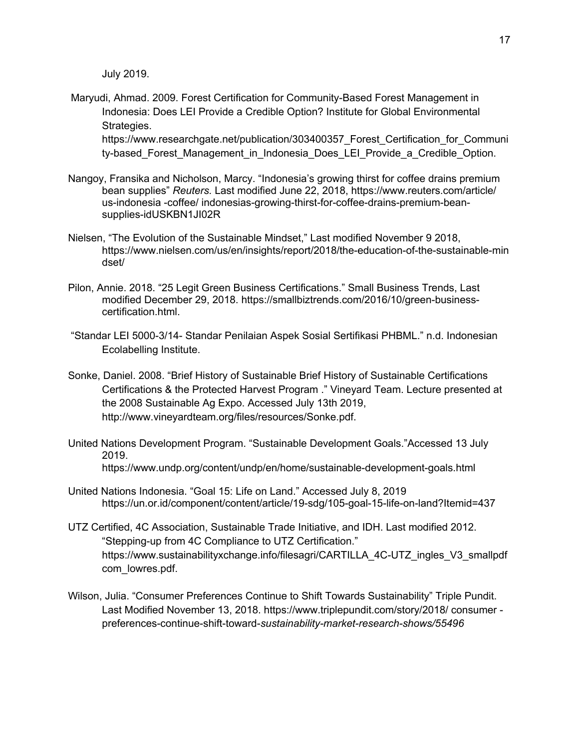July 2019.

Maryudi, Ahmad. 2009. Forest Certification for Community-Based Forest Management in Indonesia: Does LEI Provide a Credible Option? Institute for Global Environmental Strategies.

https://www.researchgate.net/publication/303400357\_Forest\_Certification\_for\_Communi ty-based Forest Management in Indonesia Does LEI Provide a Credible Option.

- Nangoy, Fransika and Nicholson, Marcy. "Indonesia's growing thirst for coffee drains premium bean supplies" *Reuters.* Last modified June 22, 2018, https://www.reuters.com/article/ us-indonesia -coffee/ indonesias-growing-thirst-for-coffee-drains-premium-beansupplies-idUSKBN1JI02R
- Nielsen, "The Evolution of the Sustainable Mindset," Last modified November 9 2018, https://www.nielsen.com/us/en/insights/report/2018/the-education-of-the-sustainable-min dset/
- Pilon, Annie. 2018. "25 Legit Green Business Certifications." Small Business Trends, Last modified December 29, 2018. https://smallbiztrends.com/2016/10/green-businesscertification.html.
- "Standar LEI 5000-3/14- Standar Penilaian Aspek Sosial Sertifikasi PHBML." n.d. Indonesian Ecolabelling Institute.
- Sonke, Daniel. 2008. "Brief History of Sustainable Brief History of Sustainable Certifications Certifications & the Protected Harvest Program ." Vineyard Team. Lecture presented at the 2008 Sustainable Ag Expo. Accessed July 13th 2019, http://www.vineyardteam.org/files/resources/Sonke.pdf.
- United Nations Development Program. "Sustainable Development Goals."Accessed 13 July 2019. https://www.undp.org/content/undp/en/home/sustainable-development-goals.html
- United Nations Indonesia. "Goal 15: Life on Land." Accessed July 8, 2019 https://un.or.id/component/content/article/19-sdg/105-goal-15-life-on-land?Itemid=437
- UTZ Certified, 4C Association, Sustainable Trade Initiative, and IDH. Last modified 2012. "Stepping-up from 4C Compliance to UTZ Certification." https://www.sustainabilityxchange.info/filesagri/CARTILLA\_4C-UTZ\_ingles\_V3\_smallpdf com\_lowres.pdf.
- Wilson, Julia. "Consumer Preferences Continue to Shift Towards Sustainability" Triple Pundit. Last Modified November 13, 2018. https://www.triplepundit.com/story/2018/ consumer preferences-continue-shift-toward-*sustainability-market-research-shows/55496*